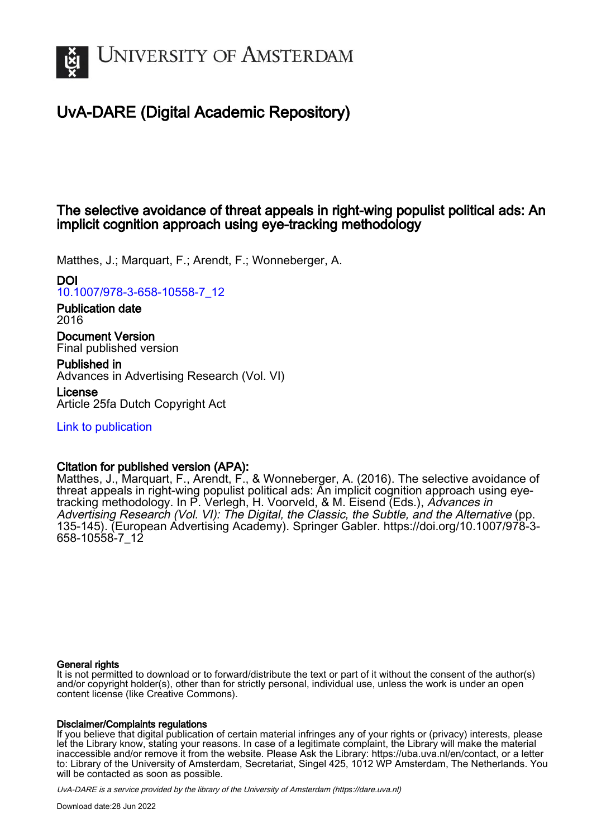

# UvA-DARE (Digital Academic Repository)

# The selective avoidance of threat appeals in right-wing populist political ads: An implicit cognition approach using eye-tracking methodology

Matthes, J.; Marquart, F.; Arendt, F.; Wonneberger, A.

DOI

[10.1007/978-3-658-10558-7\\_12](https://doi.org/10.1007/978-3-658-10558-7_12)

Publication date 2016

Document Version Final published version

Published in Advances in Advertising Research (Vol. VI)

License Article 25fa Dutch Copyright Act

[Link to publication](https://dare.uva.nl/personal/pure/en/publications/the-selective-avoidance-of-threat-appeals-in-rightwing-populist-political-ads-an-implicit-cognition-approach-using-eyetracking-methodology(4fecde97-b6d3-49df-97fa-46bbfad10030).html)

## Citation for published version (APA):

Matthes, J., Marquart, F., Arendt, F., & Wonneberger, A. (2016). The selective avoidance of threat appeals in right-wing populist political ads: An implicit cognition approach using eyetracking methodology. In P. Verlegh, H. Voorveld, & M. Eisend (Eds.), Advances in Advertising Research (Vol. VI): The Digital, the Classic, the Subtle, and the Alternative (pp. 135-145). (European Advertising Academy). Springer Gabler. [https://doi.org/10.1007/978-3-](https://doi.org/10.1007/978-3-658-10558-7_12) [658-10558-7\\_12](https://doi.org/10.1007/978-3-658-10558-7_12)

### General rights

It is not permitted to download or to forward/distribute the text or part of it without the consent of the author(s) and/or copyright holder(s), other than for strictly personal, individual use, unless the work is under an open content license (like Creative Commons).

### Disclaimer/Complaints regulations

If you believe that digital publication of certain material infringes any of your rights or (privacy) interests, please let the Library know, stating your reasons. In case of a legitimate complaint, the Library will make the material inaccessible and/or remove it from the website. Please Ask the Library: https://uba.uva.nl/en/contact, or a letter to: Library of the University of Amsterdam, Secretariat, Singel 425, 1012 WP Amsterdam, The Netherlands. You will be contacted as soon as possible.

UvA-DARE is a service provided by the library of the University of Amsterdam (http*s*://dare.uva.nl)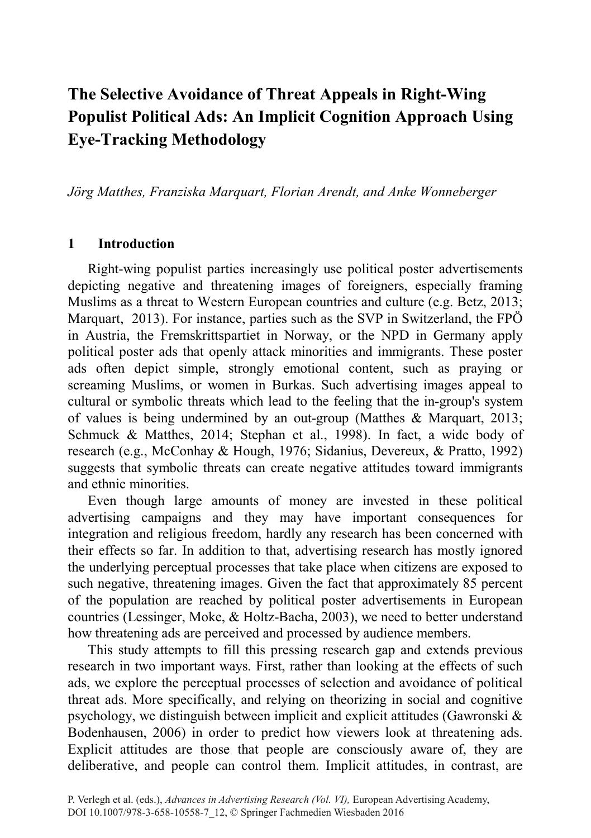# **The Selective Avoidance of Threat Appeals in Right-Wing Populist Political Ads: An Implicit Cognition Approach Using Eye-Tracking Methodology**

*Jörg Matthes, Franziska Marquart, Florian Arendt, and Anke Wonneberger*

#### **1 Introduction**

Right-wing populist parties increasingly use political poster advertisements depicting negative and threatening images of foreigners, especially framing Muslims as a threat to Western European countries and culture (e.g. Betz, 2013; Marquart, 2013). For instance, parties such as the SVP in Switzerland, the FPÖ in Austria, the Fremskrittspartiet in Norway, or the NPD in Germany apply political poster ads that openly attack minorities and immigrants. These poster ads often depict simple, strongly emotional content, such as praying or screaming Muslims, or women in Burkas. Such advertising images appeal to cultural or symbolic threats which lead to the feeling that the in-group's system of values is being undermined by an out-group (Matthes & Marquart, 2013; Schmuck & Matthes, 2014; Stephan et al., 1998). In fact, a wide body of research (e.g., McConhay & Hough, 1976; Sidanius, Devereux, & Pratto, 1992) suggests that symbolic threats can create negative attitudes toward immigrants and ethnic minorities.

Even though large amounts of money are invested in these political advertising campaigns and they may have important consequences for integration and religious freedom, hardly any research has been concerned with their effects so far. In addition to that, advertising research has mostly ignored the underlying perceptual processes that take place when citizens are exposed to such negative, threatening images. Given the fact that approximately 85 percent of the population are reached by political poster advertisements in European countries (Lessinger, Moke, & Holtz-Bacha, 2003), we need to better understand how threatening ads are perceived and processed by audience members.

This study attempts to fill this pressing research gap and extends previous research in two important ways. First, rather than looking at the effects of such ads, we explore the perceptual processes of selection and avoidance of political threat ads. More specifically, and relying on theorizing in social and cognitive psychology, we distinguish between implicit and explicit attitudes (Gawronski & Bodenhausen, 2006) in order to predict how viewers look at threatening ads. Explicit attitudes are those that people are consciously aware of, they are deliberative, and people can control them. Implicit attitudes, in contrast, are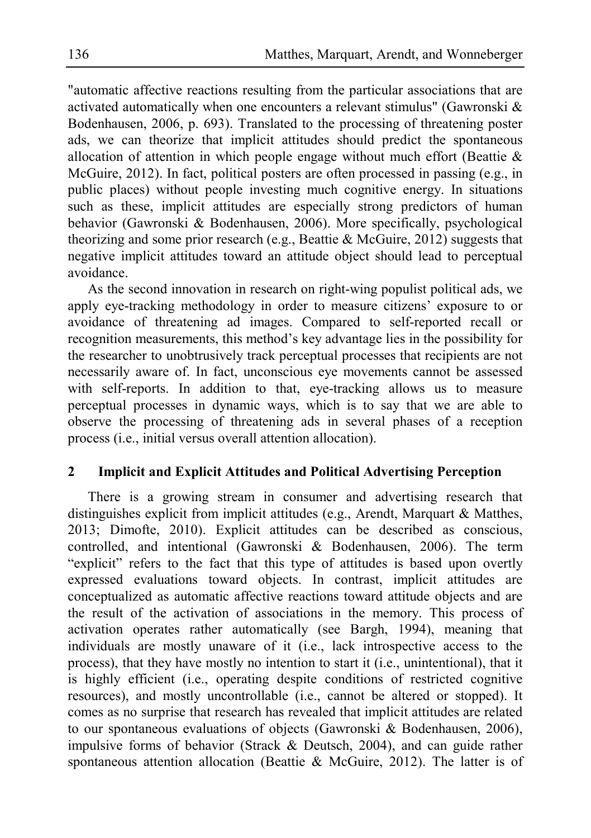"automatic affective reactions resulting from the particular associations that are activated automatically when one encounters a relevant stimulus" (Gawronski & Bodenhausen, 2006, p. 693). Translated to the processing of threatening poster ads, we can theorize that implicit attitudes should predict the spontaneous allocation of attention in which people engage without much effort (Beattie & McGuire, 2012). In fact, political posters are often processed in passing (e.g., in public places) without people investing much cognitive energy. In situations such as these, implicit attitudes are especially strong predictors of human behavior (Gawronski & Bodenhausen, 2006). More specifically, psychological theorizing and some prior research (e.g., Beattie & McGuire, 2012) suggests that negative implicit attitudes toward an attitude object should lead to perceptual avoidance.

As the second innovation in research on right-wing populist political ads, we apply eye-tracking methodology in order to measure citizens' exposure to or avoidance of threatening ad images. Compared to self-reported recall or recognition measurements, this method's key advantage lies in the possibility for the researcher to unobtrusively track perceptual processes that recipients are not necessarily aware of. In fact, unconscious eye movements cannot be assessed with self-reports. In addition to that, eye-tracking allows us to measure perceptual processes in dynamic ways, which is to say that we are able to observe the processing of threatening ads in several phases of a reception process (i.e., initial versus overall attention allocation).

#### **2 Implicit and Explicit Attitudes and Political Advertising Perception**

There is a growing stream in consumer and advertising research that distinguishes explicit from implicit attitudes (e.g., Arendt, Marquart & Matthes, 2013; Dimofte, 2010). Explicit attitudes can be described as conscious, controlled, and intentional (Gawronski & Bodenhausen, 2006). The term "explicit" refers to the fact that this type of attitudes is based upon overtly expressed evaluations toward objects. In contrast, implicit attitudes are conceptualized as automatic affective reactions toward attitude objects and are the result of the activation of associations in the memory. This process of activation operates rather automatically (see Bargh, 1994), meaning that individuals are mostly unaware of it (i.e., lack introspective access to the process), that they have mostly no intention to start it (i.e., unintentional), that it is highly efficient (i.e., operating despite conditions of restricted cognitive resources), and mostly uncontrollable (i.e., cannot be altered or stopped). It comes as no surprise that research has revealed that implicit attitudes are related to our spontaneous evaluations of objects (Gawronski & Bodenhausen, 2006), impulsive forms of behavior (Strack & Deutsch, 2004), and can guide rather spontaneous attention allocation (Beattie & McGuire, 2012). The latter is of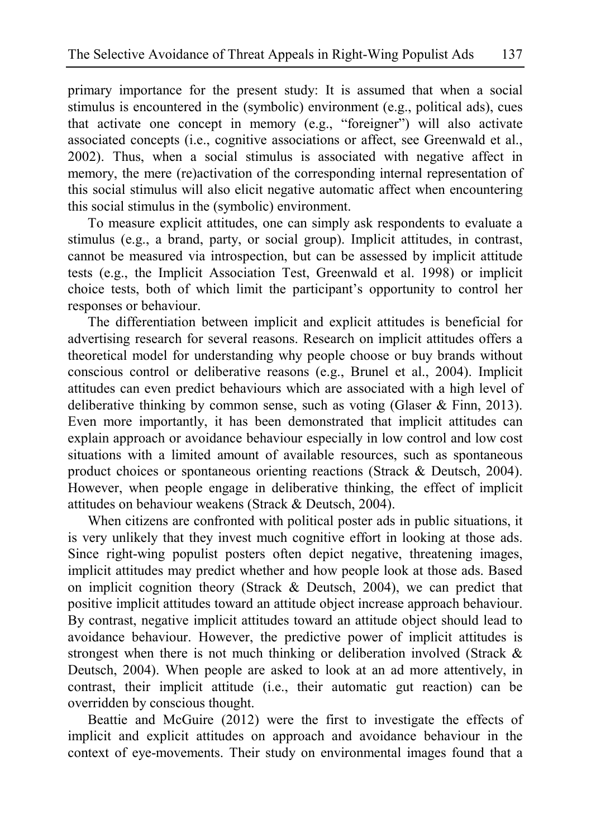primary importance for the present study: It is assumed that when a social stimulus is encountered in the (symbolic) environment (e.g., political ads), cues that activate one concept in memory (e.g., "foreigner") will also activate associated concepts (i.e., cognitive associations or affect, see Greenwald et al., 2002). Thus, when a social stimulus is associated with negative affect in memory, the mere (re)activation of the corresponding internal representation of this social stimulus will also elicit negative automatic affect when encountering this social stimulus in the (symbolic) environment.

To measure explicit attitudes, one can simply ask respondents to evaluate a stimulus (e.g., a brand, party, or social group). Implicit attitudes, in contrast, cannot be measured via introspection, but can be assessed by implicit attitude tests (e.g., the Implicit Association Test, Greenwald et al. 1998) or implicit choice tests, both of which limit the participant's opportunity to control her responses or behaviour.

The differentiation between implicit and explicit attitudes is beneficial for advertising research for several reasons. Research on implicit attitudes offers a theoretical model for understanding why people choose or buy brands without conscious control or deliberative reasons (e.g., Brunel et al., 2004). Implicit attitudes can even predict behaviours which are associated with a high level of deliberative thinking by common sense, such as voting (Glaser & Finn, 2013). Even more importantly, it has been demonstrated that implicit attitudes can explain approach or avoidance behaviour especially in low control and low cost situations with a limited amount of available resources, such as spontaneous product choices or spontaneous orienting reactions (Strack & Deutsch, 2004). However, when people engage in deliberative thinking, the effect of implicit attitudes on behaviour weakens (Strack & Deutsch, 2004).

When citizens are confronted with political poster ads in public situations, it is very unlikely that they invest much cognitive effort in looking at those ads. Since right-wing populist posters often depict negative, threatening images, implicit attitudes may predict whether and how people look at those ads. Based on implicit cognition theory (Strack & Deutsch, 2004), we can predict that positive implicit attitudes toward an attitude object increase approach behaviour. By contrast, negative implicit attitudes toward an attitude object should lead to avoidance behaviour. However, the predictive power of implicit attitudes is strongest when there is not much thinking or deliberation involved (Strack & Deutsch, 2004). When people are asked to look at an ad more attentively, in contrast, their implicit attitude (i.e., their automatic gut reaction) can be overridden by conscious thought.

Beattie and McGuire (2012) were the first to investigate the effects of implicit and explicit attitudes on approach and avoidance behaviour in the context of eye-movements. Their study on environmental images found that a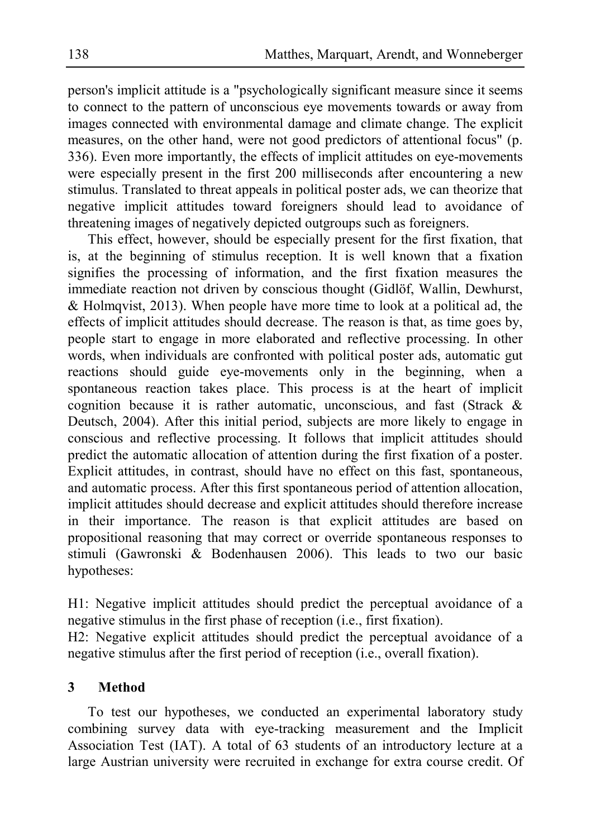person's implicit attitude is a "psychologically significant measure since it seems to connect to the pattern of unconscious eye movements towards or away from images connected with environmental damage and climate change. The explicit measures, on the other hand, were not good predictors of attentional focus" (p. 336). Even more importantly, the effects of implicit attitudes on eye-movements were especially present in the first 200 milliseconds after encountering a new stimulus. Translated to threat appeals in political poster ads, we can theorize that negative implicit attitudes toward foreigners should lead to avoidance of threatening images of negatively depicted outgroups such as foreigners.

This effect, however, should be especially present for the first fixation, that is, at the beginning of stimulus reception. It is well known that a fixation signifies the processing of information, and the first fixation measures the immediate reaction not driven by conscious thought (Gidlöf, Wallin, Dewhurst, & Holmqvist, 2013). When people have more time to look at a political ad, the effects of implicit attitudes should decrease. The reason is that, as time goes by, people start to engage in more elaborated and reflective processing. In other words, when individuals are confronted with political poster ads, automatic gut reactions should guide eye-movements only in the beginning, when a spontaneous reaction takes place. This process is at the heart of implicit cognition because it is rather automatic, unconscious, and fast (Strack & Deutsch, 2004). After this initial period, subjects are more likely to engage in conscious and reflective processing. It follows that implicit attitudes should predict the automatic allocation of attention during the first fixation of a poster. Explicit attitudes, in contrast, should have no effect on this fast, spontaneous, and automatic process. After this first spontaneous period of attention allocation, implicit attitudes should decrease and explicit attitudes should therefore increase in their importance. The reason is that explicit attitudes are based on propositional reasoning that may correct or override spontaneous responses to stimuli (Gawronski & Bodenhausen 2006). This leads to two our basic hypotheses:

H1: Negative implicit attitudes should predict the perceptual avoidance of a negative stimulus in the first phase of reception (i.e., first fixation).

H2: Negative explicit attitudes should predict the perceptual avoidance of a negative stimulus after the first period of reception (i.e., overall fixation).

### **3 Method**

To test our hypotheses, we conducted an experimental laboratory study combining survey data with eye-tracking measurement and the Implicit Association Test (IAT). A total of 63 students of an introductory lecture at a large Austrian university were recruited in exchange for extra course credit. Of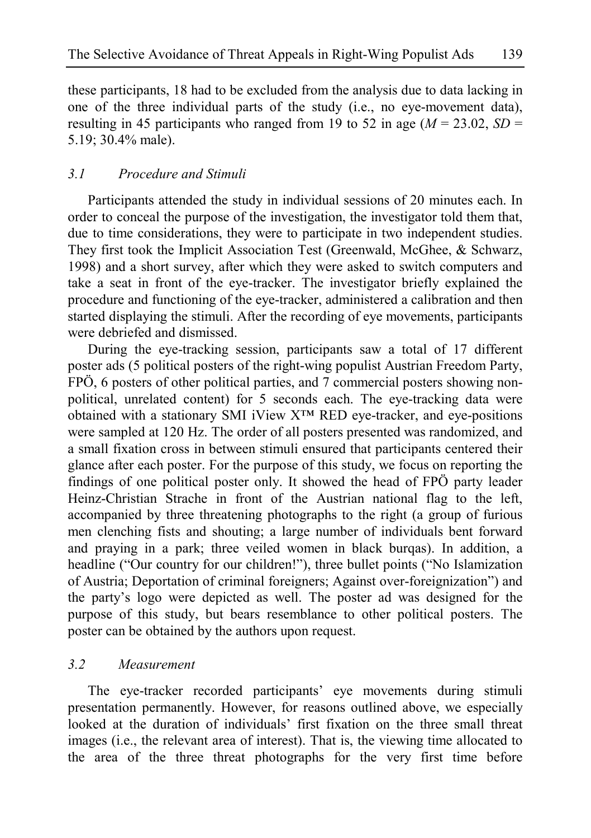these participants, 18 had to be excluded from the analysis due to data lacking in one of the three individual parts of the study (i.e., no eye-movement data), resulting in 45 participants who ranged from 19 to 52 in age ( $M = 23.02$ ,  $SD =$ 5.19; 30.4% male).

#### *3.1 Procedure and Stimuli*

Participants attended the study in individual sessions of 20 minutes each. In order to conceal the purpose of the investigation, the investigator told them that, due to time considerations, they were to participate in two independent studies. They first took the Implicit Association Test (Greenwald, McGhee, & Schwarz, 1998) and a short survey, after which they were asked to switch computers and take a seat in front of the eye-tracker. The investigator briefly explained the procedure and functioning of the eye-tracker, administered a calibration and then started displaying the stimuli. After the recording of eye movements, participants were debriefed and dismissed.

During the eye-tracking session, participants saw a total of 17 different poster ads (5 political posters of the right-wing populist Austrian Freedom Party, FPÖ, 6 posters of other political parties, and 7 commercial posters showing nonpolitical, unrelated content) for 5 seconds each. The eye-tracking data were obtained with a stationary SMI iView X™ RED eye-tracker, and eye-positions were sampled at 120 Hz. The order of all posters presented was randomized, and a small fixation cross in between stimuli ensured that participants centered their glance after each poster. For the purpose of this study, we focus on reporting the findings of one political poster only. It showed the head of FPÖ party leader Heinz-Christian Strache in front of the Austrian national flag to the left, accompanied by three threatening photographs to the right (a group of furious men clenching fists and shouting; a large number of individuals bent forward and praying in a park; three veiled women in black burqas). In addition, a headline ("Our country for our children!"), three bullet points ("No Islamization of Austria; Deportation of criminal foreigners; Against over-foreignization") and the party's logo were depicted as well. The poster ad was designed for the purpose of this study, but bears resemblance to other political posters. The poster can be obtained by the authors upon request.

#### *3.2 Measurement*

The eye-tracker recorded participants' eye movements during stimuli presentation permanently. However, for reasons outlined above, we especially looked at the duration of individuals' first fixation on the three small threat images (i.e., the relevant area of interest). That is, the viewing time allocated to the area of the three threat photographs for the very first time before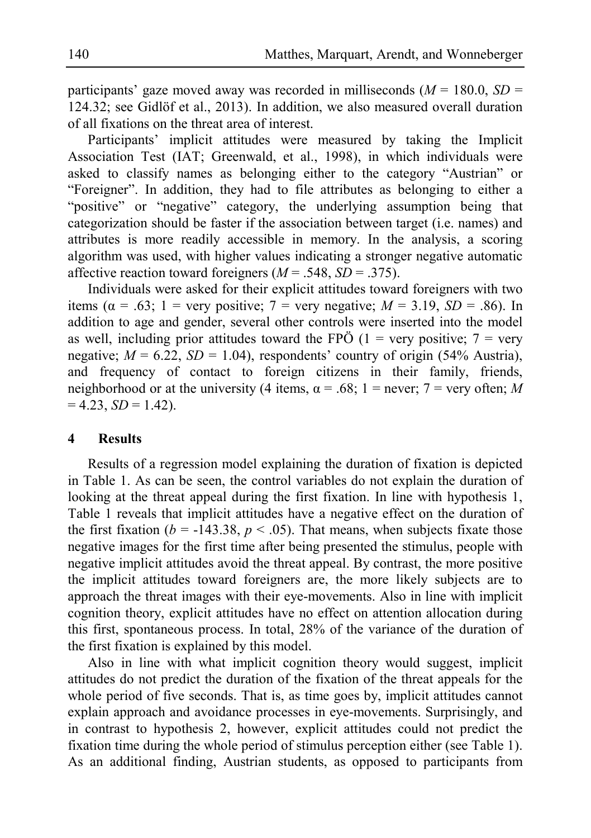participants' gaze moved away was recorded in milliseconds ( $M = 180.0$ ,  $SD =$ 124.32; see Gidlöf et al., 2013). In addition, we also measured overall duration of all fixations on the threat area of interest.

Participants' implicit attitudes were measured by taking the Implicit Association Test (IAT; Greenwald, et al., 1998), in which individuals were asked to classify names as belonging either to the category "Austrian" or "Foreigner". In addition, they had to file attributes as belonging to either a "positive" or "negative" category, the underlying assumption being that categorization should be faster if the association between target (i.e. names) and attributes is more readily accessible in memory. In the analysis, a scoring algorithm was used, with higher values indicating a stronger negative automatic affective reaction toward foreigners  $(M = .548, SD = .375)$ .

Individuals were asked for their explicit attitudes toward foreigners with two items ( $\alpha$  = .63; 1 = very positive; 7 = very negative;  $M = 3.19$ ,  $SD = .86$ ). In addition to age and gender, several other controls were inserted into the model as well, including prior attitudes toward the FPÖ  $(1 = \text{very positive}; 7 = \text{very})$ negative;  $M = 6.22$ ,  $SD = 1.04$ ), respondents' country of origin (54% Austria), and frequency of contact to foreign citizens in their family, friends, neighborhood or at the university (4 items,  $\alpha$  = .68; 1 = never; 7 = very often; *M*  $= 4.23, SD = 1.42$ .

#### **4 Results**

Results of a regression model explaining the duration of fixation is depicted in Table 1. As can be seen, the control variables do not explain the duration of looking at the threat appeal during the first fixation. In line with hypothesis 1, Table 1 reveals that implicit attitudes have a negative effect on the duration of the first fixation ( $b = -143.38$ ,  $p < .05$ ). That means, when subjects fixate those negative images for the first time after being presented the stimulus, people with negative implicit attitudes avoid the threat appeal. By contrast, the more positive the implicit attitudes toward foreigners are, the more likely subjects are to approach the threat images with their eye-movements. Also in line with implicit cognition theory, explicit attitudes have no effect on attention allocation during this first, spontaneous process. In total, 28% of the variance of the duration of the first fixation is explained by this model.

Also in line with what implicit cognition theory would suggest, implicit attitudes do not predict the duration of the fixation of the threat appeals for the whole period of five seconds. That is, as time goes by, implicit attitudes cannot explain approach and avoidance processes in eye-movements. Surprisingly, and in contrast to hypothesis 2, however, explicit attitudes could not predict the fixation time during the whole period of stimulus perception either (see Table 1). As an additional finding, Austrian students, as opposed to participants from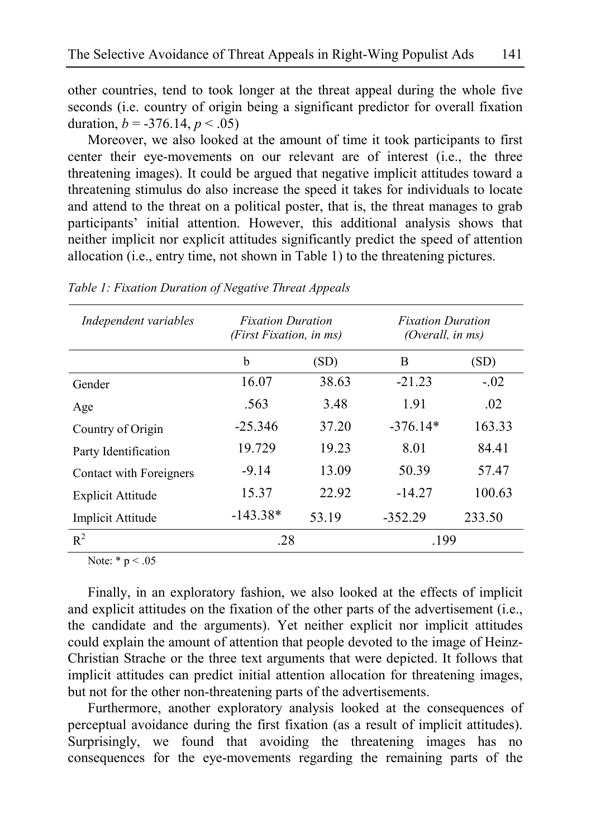other countries, tend to took longer at the threat appeal during the whole five seconds (i.e. country of origin being a significant predictor for overall fixation duration,  $b = -376.14$ ,  $p < .05$ )

Moreover, we also looked at the amount of time it took participants to first center their eye-movements on our relevant are of interest (i.e., the three threatening images). It could be argued that negative implicit attitudes toward a threatening stimulus do also increase the speed it takes for individuals to locate and attend to the threat on a political poster, that is, the threat manages to grab participants' initial attention. However, this additional analysis shows that neither implicit nor explicit attitudes significantly predict the speed of attention allocation (i.e., entry time, not shown in Table 1) to the threatening pictures.

| Independent variables    | <b>Fixation Duration</b><br>(First Fixation, in ms) |       | <b>Fixation Duration</b><br>(Overall, in ms) |        |
|--------------------------|-----------------------------------------------------|-------|----------------------------------------------|--------|
|                          | b                                                   | (SD)  | B                                            | (SD)   |
| Gender                   | 16.07                                               | 38.63 | $-21.23$                                     | $-02$  |
| Age                      | .563                                                | 3.48  | 1.91                                         | .02    |
| Country of Origin        | $-25.346$                                           | 37.20 | $-376.14*$                                   | 163.33 |
| Party Identification     | 19.729                                              | 19.23 | 8.01                                         | 84.41  |
| Contact with Foreigners  | $-9.14$                                             | 13.09 | 50.39                                        | 57.47  |
| <b>Explicit Attitude</b> | 15.37                                               | 22.92 | $-14.27$                                     | 100.63 |
| Implicit Attitude        | $-143.38*$                                          | 53.19 | $-352.29$                                    | 233.50 |
| $R^2$                    | .28                                                 |       | .199                                         |        |

*Table 1: Fixation Duration of Negative Threat Appeals*

Note:  $* n < 0.05$ 

Finally, in an exploratory fashion, we also looked at the effects of implicit and explicit attitudes on the fixation of the other parts of the advertisement (i.e., the candidate and the arguments). Yet neither explicit nor implicit attitudes could explain the amount of attention that people devoted to the image of Heinz-Christian Strache or the three text arguments that were depicted. It follows that implicit attitudes can predict initial attention allocation for threatening images, but not for the other non-threatening parts of the advertisements.

Furthermore, another exploratory analysis looked at the consequences of perceptual avoidance during the first fixation (as a result of implicit attitudes). Surprisingly, we found that avoiding the threatening images has no consequences for the eye-movements regarding the remaining parts of the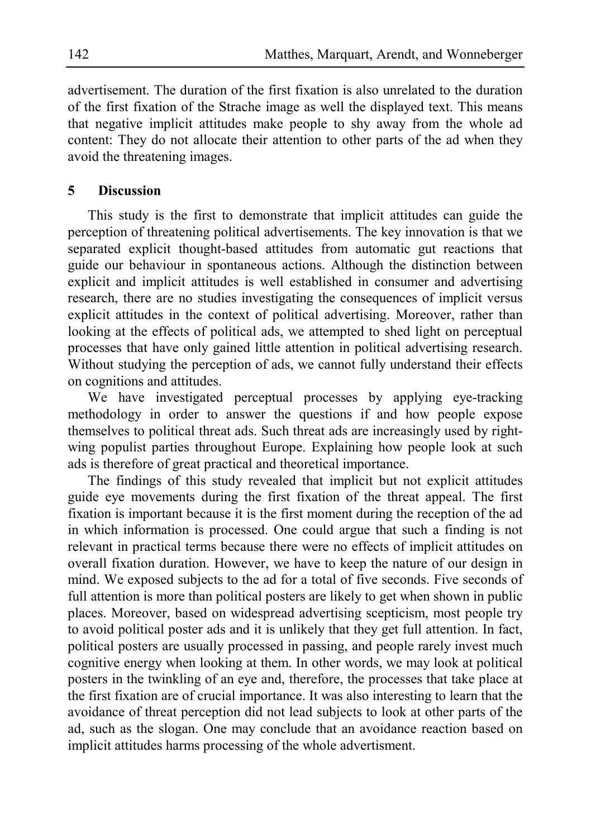advertisement. The duration of the first fixation is also unrelated to the duration of the first fixation of the Strache image as well the displayed text. This means that negative implicit attitudes make people to shy away from the whole ad content: They do not allocate their attention to other parts of the ad when they avoid the threatening images.

#### **5 Discussion**

This study is the first to demonstrate that implicit attitudes can guide the perception of threatening political advertisements. The key innovation is that we separated explicit thought-based attitudes from automatic gut reactions that guide our behaviour in spontaneous actions. Although the distinction between explicit and implicit attitudes is well established in consumer and advertising research, there are no studies investigating the consequences of implicit versus explicit attitudes in the context of political advertising. Moreover, rather than looking at the effects of political ads, we attempted to shed light on perceptual processes that have only gained little attention in political advertising research. Without studying the perception of ads, we cannot fully understand their effects on cognitions and attitudes.

We have investigated perceptual processes by applying eye-tracking methodology in order to answer the questions if and how people expose themselves to political threat ads. Such threat ads are increasingly used by rightwing populist parties throughout Europe. Explaining how people look at such ads is therefore of great practical and theoretical importance.

The findings of this study revealed that implicit but not explicit attitudes guide eye movements during the first fixation of the threat appeal. The first fixation is important because it is the first moment during the reception of the ad in which information is processed. One could argue that such a finding is not relevant in practical terms because there were no effects of implicit attitudes on overall fixation duration. However, we have to keep the nature of our design in mind. We exposed subjects to the ad for a total of five seconds. Five seconds of full attention is more than political posters are likely to get when shown in public places. Moreover, based on widespread advertising scepticism, most people try to avoid political poster ads and it is unlikely that they get full attention. In fact, political posters are usually processed in passing, and people rarely invest much cognitive energy when looking at them. In other words, we may look at political posters in the twinkling of an eye and, therefore, the processes that take place at the first fixation are of crucial importance. It was also interesting to learn that the avoidance of threat perception did not lead subjects to look at other parts of the ad, such as the slogan. One may conclude that an avoidance reaction based on implicit attitudes harms processing of the whole advertisment.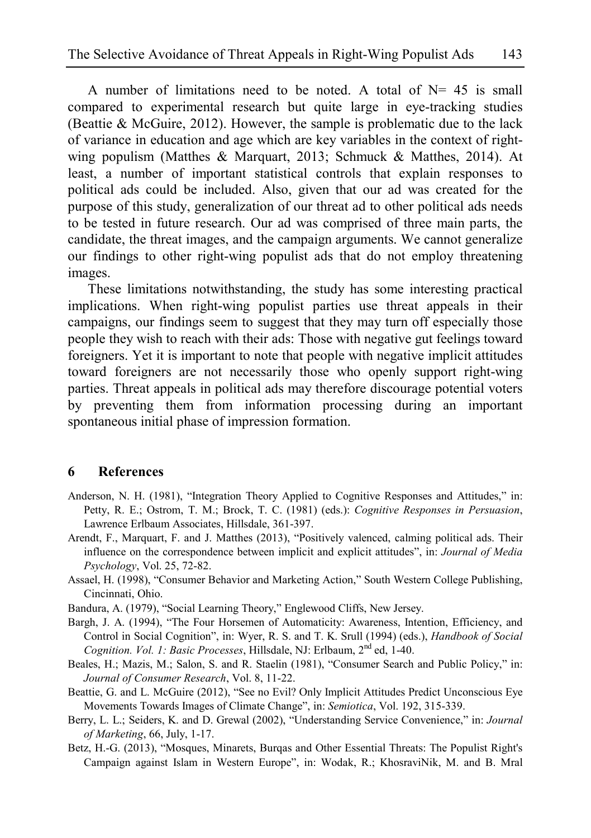A number of limitations need to be noted. A total of  $N = 45$  is small compared to experimental research but quite large in eye-tracking studies (Beattie & McGuire, 2012). However, the sample is problematic due to the lack of variance in education and age which are key variables in the context of rightwing populism (Matthes & Marquart, 2013; Schmuck & Matthes, 2014). At least, a number of important statistical controls that explain responses to political ads could be included. Also, given that our ad was created for the purpose of this study, generalization of our threat ad to other political ads needs to be tested in future research. Our ad was comprised of three main parts, the candidate, the threat images, and the campaign arguments. We cannot generalize our findings to other right-wing populist ads that do not employ threatening images.

These limitations notwithstanding, the study has some interesting practical implications. When right-wing populist parties use threat appeals in their campaigns, our findings seem to suggest that they may turn off especially those people they wish to reach with their ads: Those with negative gut feelings toward foreigners. Yet it is important to note that people with negative implicit attitudes toward foreigners are not necessarily those who openly support right-wing parties. Threat appeals in political ads may therefore discourage potential voters by preventing them from information processing during an important spontaneous initial phase of impression formation.

#### **6 References**

- Anderson, N. H. (1981), "Integration Theory Applied to Cognitive Responses and Attitudes," in: Petty, R. E.; Ostrom, T. M.; Brock, T. C. (1981) (eds.): *Cognitive Responses in Persuasion*, Lawrence Erlbaum Associates, Hillsdale, 361-397.
- Arendt, F., Marquart, F. and J. Matthes (2013), "Positively valenced, calming political ads. Their influence on the correspondence between implicit and explicit attitudes", in: *Journal of Media Psychology*, Vol. 25, 72-82.
- Assael, H. (1998), "Consumer Behavior and Marketing Action," South Western College Publishing, Cincinnati, Ohio.
- Bandura, A. (1979), "Social Learning Theory," Englewood Cliffs, New Jersey.
- Bargh, J. A. (1994), "The Four Horsemen of Automaticity: Awareness, Intention, Efficiency, and Control in Social Cognition", in: Wyer, R. S. and T. K. Srull (1994) (eds.), *Handbook of Social Cognition. Vol. 1: Basic Processes*, Hillsdale, NJ: Erlbaum, 2nd ed, 1-40.
- Beales, H.; Mazis, M.; Salon, S. and R. Staelin (1981), "Consumer Search and Public Policy," in: *Journal of Consumer Research*, Vol. 8, 11-22.
- Beattie, G. and L. McGuire (2012), "See no Evil? Only Implicit Attitudes Predict Unconscious Eye Movements Towards Images of Climate Change", in: *Semiotica*, Vol. 192, 315-339.
- Berry, L. L.; Seiders, K. and D. Grewal (2002), "Understanding Service Convenience," in: *Journal of Marketing*, 66, July, 1-17.
- Betz, H.-G. (2013), "Mosques, Minarets, Burqas and Other Essential Threats: The Populist Right's Campaign against Islam in Western Europe", in: Wodak, R.; KhosraviNik, M. and B. Mral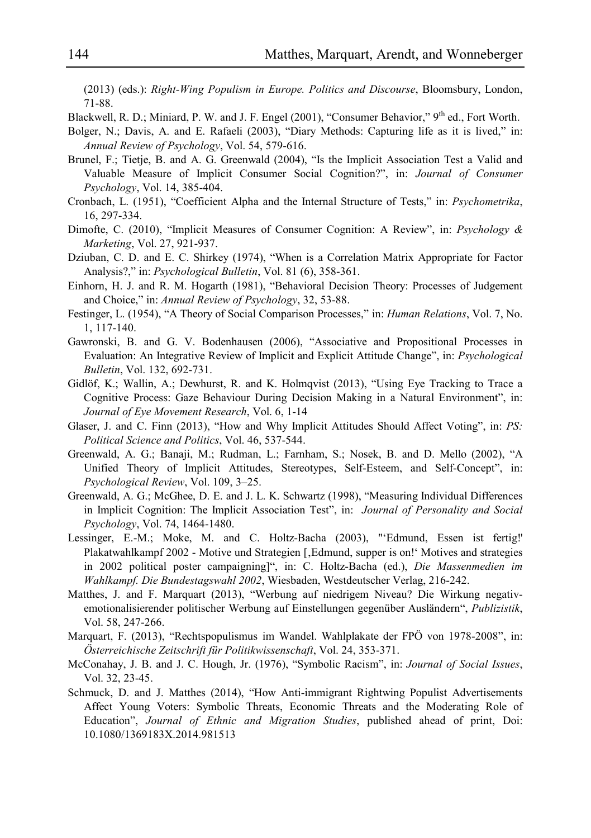(2013) (eds.): *Right-Wing Populism in Europe. Politics and Discourse*, Bloomsbury, London, 71-88.

Blackwell, R. D.; Miniard, P. W. and J. F. Engel (2001), "Consumer Behavior." 9<sup>th</sup> ed., Fort Worth.

- Bolger, N.; Davis, A. and E. Rafaeli (2003), "Diary Methods: Capturing life as it is lived," in: *Annual Review of Psychology*, Vol. 54, 579-616.
- Brunel, F.; Tietje, B. and A. G. Greenwald (2004), "Is the Implicit Association Test a Valid and Valuable Measure of Implicit Consumer Social Cognition?", in: *Journal of Consumer Psychology*, Vol. 14, 385-404.
- Cronbach, L. (1951), "Coefficient Alpha and the Internal Structure of Tests," in: *Psychometrika*, 16, 297-334.
- Dimofte, C. (2010), "Implicit Measures of Consumer Cognition: A Review", in: *Psychology & Marketing*, Vol. 27, 921-937.
- Dziuban, C. D. and E. C. Shirkey (1974), "When is a Correlation Matrix Appropriate for Factor Analysis?," in: *Psychological Bulletin*, Vol. 81 (6), 358-361.
- Einhorn, H. J. and R. M. Hogarth (1981), "Behavioral Decision Theory: Processes of Judgement and Choice," in: *Annual Review of Psychology*, 32, 53-88.
- Festinger, L. (1954), "A Theory of Social Comparison Processes," in: *Human Relations*, Vol. 7, No. 1, 117-140.
- Gawronski, B. and G. V. Bodenhausen (2006), "Associative and Propositional Processes in Evaluation: An Integrative Review of Implicit and Explicit Attitude Change", in: *Psychological Bulletin*, Vol. 132, 692-731.
- Gidlöf, K.; Wallin, A.; Dewhurst, R. and K. Holmqvist (2013), "Using Eye Tracking to Trace a Cognitive Process: Gaze Behaviour During Decision Making in a Natural Environment", in: *Journal of Eye Movement Research*, Vol. 6, 1-14
- Glaser, J. and C. Finn (2013), "How and Why Implicit Attitudes Should Affect Voting", in: *PS: Political Science and Politics*, Vol. 46, 537-544.
- Greenwald, A. G.; Banaji, M.; Rudman, L.; Farnham, S.; Nosek, B. and D. Mello (2002), "A Unified Theory of Implicit Attitudes, Stereotypes, Self-Esteem, and Self-Concept", in: *Psychological Review*, Vol. 109, 3–25.
- Greenwald, A. G.; McGhee, D. E. and J. L. K. Schwartz (1998), "Measuring Individual Differences in Implicit Cognition: The Implicit Association Test", in: *Journal of Personality and Social Psychology*, Vol. 74, 1464-1480.
- Lessinger, E.-M.; Moke, M. and C. Holtz-Bacha (2003), "'Edmund, Essen ist fertig!' Plakatwahlkampf 2002 - Motive und Strategien [, Edmund, supper is on!' Motives and strategies in 2002 political poster campaigning]", in: C. Holtz-Bacha (ed.), *Die Massenmedien im Wahlkampf. Die Bundestagswahl 2002*, Wiesbaden, Westdeutscher Verlag, 216-242.
- Matthes, J. and F. Marquart (2013), "Werbung auf niedrigem Niveau? Die Wirkung negativemotionalisierender politischer Werbung auf Einstellungen gegenüber Ausländern", *Publizistik*, Vol. 58, 247-266.
- Marquart, F. (2013), "Rechtspopulismus im Wandel. Wahlplakate der FPÖ von 1978-2008", in: *Österreichische Zeitschrift für Politikwissenschaft*, Vol. 24, 353-371.
- McConahay, J. B. and J. C. Hough, Jr. (1976), "Symbolic Racism", in: *Journal of Social Issues*, Vol. 32, 23-45.
- Schmuck, D. and J. Matthes (2014), "How Anti-immigrant Rightwing Populist Advertisements Affect Young Voters: Symbolic Threats, Economic Threats and the Moderating Role of Education", *Journal of Ethnic and Migration Studies*, published ahead of print, Doi: 10.1080/1369183X.2014.981513